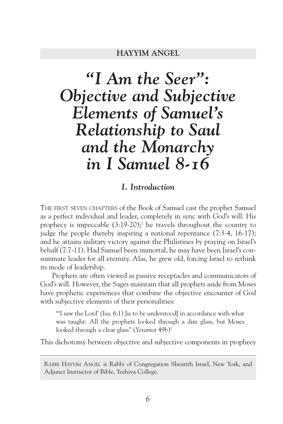# *"I Am the Seer": Objective and Subjective Elements of Samuel's Relationship to Saul and the Monarchy in I Samuel 8-16*

### *I. Introduction*

THE FIRST SEVEN CHAPTERS of the Book of Samuel cast the prophet Samuel as a perfect individual and leader, completely in sync with God's will. His prophecy is impeccable  $(3:19-20)$ ;<sup>1</sup> he travels throughout the country to judge the people thereby inspiring a national repentance (7:3-4, 16-17); and he attains military victory against the Philistines by praying on Israel's behalf (7:7-11). Had Samuel been immortal, he may have been Israel's consummate leader for all eternity. Alas, he grew old, forcing Israel to rethink its mode of leadership.

Prophets are often viewed as passive receptacles and communicators of God's will. However, the Sages maintain that all prophets aside from Moses have prophetic experiences that combine the objective encounter of God with subjective elements of their personalities:

"I saw the Lord' (Isa, 6:1) lis to be understoodl in accordance with what was taught: All the prophets looked through a dim glass, but Moses looked through a clear glass" (*Yevamot* 49b)2

This dichotomy between objective and subjective components in prophecy

RABBI HAYYIM ANGEL is Rabbi of Congregation Shearith Israel, New York, and Adjunct Instructor of Bible, Yeshiva College.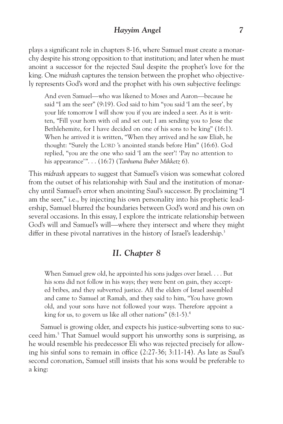plays a significant role in chapters 8-16, where Samuel must create a monarchy despite his strong opposition to that institution; and later when he must anoint a successor for the rejected Saul despite the prophet's love for the king. One *midrash* captures the tension between the prophet who objectively represents God's word and the prophet with his own subjective feelings:

And even Samuel—who was likened to Moses and Aaron—because he said "I am the seer" (9:19). God said to him "you said 'I am the seer', by your life tomorrow I will show you if you are indeed a seer. As it is written, "Fill your horn with oil and set out; I am sending you to Jesse the Bethlehemite, for I have decided on one of his sons to be king" (16:1). When he arrived it is written, "When they arrived and he saw Eliab, he thought: "Surely the LORD 's anointed stands before Him" (16:6). God replied, "you are the one who said 'I am the seer'! 'Pay no attention to his appearance'". . . (16:7) (*Tanhuma Buber Mikketz* 6).

This *midrash* appears to suggest that Samuel's vision was somewhat colored from the outset of his relationship with Saul and the institution of monarchy until Samuel's error when anointing Saul's successor. By proclaiming "I am the seer," i.e., by injecting his own personality into his prophetic leadership, Samuel blurred the boundaries between God's word and his own on several occasions. In this essay, I explore the intricate relationship between God's will and Samuel's will—where they intersect and where they might differ in these pivotal narratives in the history of Israel's leadership.<sup>3</sup>

# *II. Chapter 8*

When Samuel grew old, he appointed his sons judges over Israel. . . . But his sons did not follow in his ways; they were bent on gain, they accepted bribes, and they subverted justice. All the elders of Israel assembled and came to Samuel at Ramah, and they said to him, "You have grown old, and your sons have not followed your ways. Therefore appoint a king for us, to govern us like all other nations"  $(8:1-5)$ .<sup>4</sup>

Samuel is growing older, and expects his justice-subverting sons to succeed him.5 That Samuel would support his unworthy sons is surprising, as he would resemble his predecessor Eli who was rejected precisely for allowing his sinful sons to remain in office (2:27-36; 3:11-14). As late as Saul's second coronation, Samuel still insists that his sons would be preferable to a king: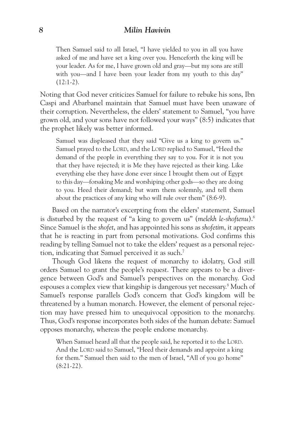Then Samuel said to all Israel, "I have yielded to you in all you have asked of me and have set a king over you. Henceforth the king will be your leader. As for me, I have grown old and gray—but my sons are still with you—and I have been your leader from my youth to this day"  $(12:1-2)$ .

Noting that God never criticizes Samuel for failure to rebuke his sons, Ibn Caspi and Abarbanel maintain that Samuel must have been unaware of their corruption. Nevertheless, the elders' statement to Samuel, "you have grown old, and your sons have not followed your ways" (8:5) indicates that the prophet likely was better informed.

Samuel was displeased that they said "Give us a king to govern us." Samuel prayed to the LORD, and the LORD replied to Samuel, "Heed the demand of the people in everything they say to you. For it is not you that they have rejected; it is Me they have rejected as their king. Like everything else they have done ever since I brought them out of Egypt to this day—forsaking Me and worshiping other gods—so they are doing to you. Heed their demand; but warn them solemnly, and tell them about the practices of any king who will rule over them" (8:6-9).

Based on the narrator's excerpting from the elders' statement, Samuel is disturbed by the request of "a king to govern us" (*melekh le-shoftenu*).6 Since Samuel is the *shofet*, and has appointed his sons as *shofetim*, it appears that he is reacting in part from personal motivations. God confirms this reading by telling Samuel not to take the elders' request as a personal rejection, indicating that Samuel perceived it as such.7

Though God likens the request of monarchy to idolatry, God still orders Samuel to grant the people's request. There appears to be a divergence between God's and Samuel's perspectives on the monarchy. God espouses a complex view that kingship is dangerous yet necessary. <sup>8</sup> Much of Samuel's response parallels God's concern that God's kingdom will be threatened by a human monarch. However, the element of personal rejection may have pressed him to unequivocal opposition to the monarchy. Thus, God's response incorporates both sides of the human debate: Samuel opposes monarchy, whereas the people endorse monarchy.

When Samuel heard all that the people said, he reported it to the LORD. And the LORD said to Samuel, "Heed their demands and appoint a king for them." Samuel then said to the men of Israel, "All of you go home" (8:21-22).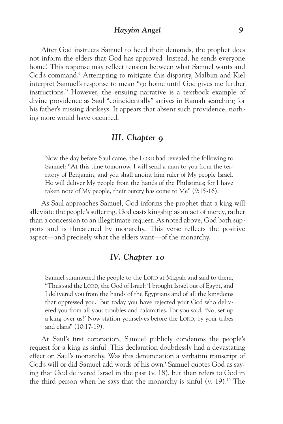After God instructs Samuel to heed their demands, the prophet does not inform the elders that God has approved. Instead, he sends everyone home! This response may reflect tension between what Samuel wants and God's command.<sup>9</sup> Attempting to mitigate this disparity, Malbim and Kiel interpret Samuel's response to mean "go home until God gives me further instructions." However, the ensuing narrative is a textbook example of divine providence as Saul "coincidentally" arrives in Ramah searching for his father's missing donkeys. It appears that absent such providence, nothing more would have occurred.

## *III. Chapter 9*

Now the day before Saul came, the LORD had revealed the following to Samuel: "At this time tomorrow, I will send a man to you from the territory of Benjamin, and you shall anoint him ruler of My people Israel. He will deliver My people from the hands of the Philistines; for I have taken note of My people, their outcry has come to Me" (9:15-16).

As Saul approaches Samuel, God informs the prophet that a king will alleviate the people's suffering. God casts kingship as an act of mercy, rather than a concession to an illegitimate request. As noted above, God both supports and is threatened by monarchy. This verse reflects the positive aspect—and precisely what the elders want—of the monarchy.

## *IV. Chapter 10*

Samuel summoned the people to the LORD at Mizpah and said to them, "Thus said the LORD, the God of Israel: 'I brought Israel out of Egypt, and I delivered you from the hands of the Egyptians and of all the kingdoms that oppressed you.' But today you have rejected your God who delivered you from all your troubles and calamities. For you said, 'No, set up a king over us!' Now station yourselves before the LORD, by your tribes and clans" (10:17-19).

At Saul's first coronation, Samuel publicly condemns the people's request for a king as sinful. This declaration doubtlessly had a devastating effect on Saul's monarchy. Was this denunciation a verbatim transcript of God's will or did Samuel add words of his own? Samuel quotes God as saying that God delivered Israel in the past (v. 18), but then refers to God in the third person when he says that the monarchy is sinful (v. 19).10 The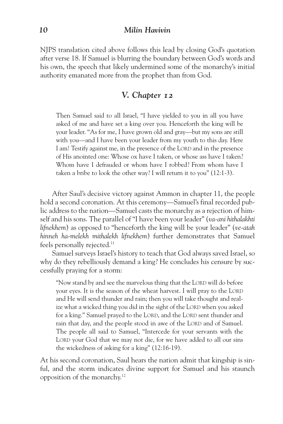NJPS translation cited above follows this lead by closing God's quotation after verse 18. If Samuel is blurring the boundary between God's words and his own, the speech that likely undermined some of the monarchy's initial authority emanated more from the prophet than from God.

# *V. Chapter 12*

Then Samuel said to all Israel, "I have yielded to you in all you have asked of me and have set a king over you. Henceforth the king will be your leader. "As for me, I have grown old and gray—but my sons are still with you—and I have been your leader from my youth to this day. Here I am! Testify against me, in the presence of the LORD and in the presence of His anointed one: Whose ox have I taken, or whose ass have I taken? Whom have I defrauded or whom have I robbed? From whom have I taken a bribe to look the other way? I will return it to you" (12:1-3).

After Saul's decisive victory against Ammon in chapter 11, the people hold a second coronation. At this ceremony—Samuel's final recorded public address to the nation—Samuel casts the monarchy as a rejection of himself and his sons. The parallel of "I have been your leader" (*va-ani hithalakhti lifnekhem*) as opposed to "henceforth the king will be your leader" (*ve-atah hinneh ha-melekh mithalekh lifnekhem*) further demonstrates that Samuel feels personally rejected.<sup>11</sup>

Samuel surveys Israel's history to teach that God always saved Israel, so why do they rebelliously demand a king? He concludes his censure by successfully praying for a storm:

"Now stand by and see the marvelous thing that the LORD will do before your eyes. It is the season of the wheat harvest. I will pray to the LORD and He will send thunder and rain; then you will take thought and realize what a wicked thing you did in the sight of the LORD when you asked for a king." Samuel prayed to the LORD, and the LORD sent thunder and rain that day, and the people stood in awe of the LORD and of Samuel. The people all said to Samuel, "Intercede for your servants with the LORD your God that we may not die, for we have added to all our sins the wickedness of asking for a king" (12:16-19).

At his second coronation, Saul hears the nation admit that kingship is sinful, and the storm indicates divine support for Samuel and his staunch opposition of the monarchy. 12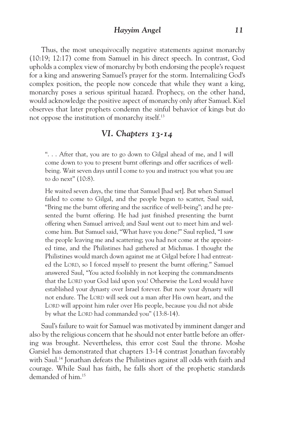Thus, the most unequivocally negative statements against monarchy (10:19; 12:17) come from Samuel in his direct speech. In contrast, God upholds a complex view of monarchy by both endorsing the people's request for a king and answering Samuel's prayer for the storm. Internalizing God's complex position, the people now concede that while they want a king, monarchy poses a serious spiritual hazard. Prophecy, on the other hand, would acknowledge the positive aspect of monarchy only after Samuel. Kiel observes that later prophets condemn the sinful behavior of kings but do not oppose the institution of monarchy itself.13

# *VI. Chapters 13-14*

". . . After that, you are to go down to Gilgal ahead of me, and I will come down to you to present burnt offerings and offer sacrifices of wellbeing. Wait seven days until I come to you and instruct you what you are to do next" (10:8).

He waited seven days, the time that Samuel [had set]. But when Samuel failed to come to Gilgal, and the people began to scatter, Saul said, "Bring me the burnt offering and the sacrifice of well-being"; and he presented the burnt offering. He had just finished presenting the burnt offering when Samuel arrived; and Saul went out to meet him and welcome him. But Samuel said, "What have you done?" Saul replied, "I saw the people leaving me and scattering; you had not come at the appointed time, and the Philistines had gathered at Michmas. I thought the Philistines would march down against me at Gilgal before I had entreated the LORD, so I forced myself to present the burnt offering." Samuel answered Saul, "You acted foolishly in not keeping the commandments that the LORD your God laid upon you! Otherwise the Lord would have established your dynasty over Israel forever. But now your dynasty will not endure. The LORD will seek out a man after His own heart, and the LORD will appoint him ruler over His people, because you did not abide by what the LORD had commanded you" (13:8-14).

Saul's failure to wait for Samuel was motivated by imminent danger and also by the religious concern that he should not enter battle before an offering was brought. Nevertheless, this error cost Saul the throne. Moshe Garsiel has demonstrated that chapters 13-14 contrast Jonathan favorably with Saul.<sup>14</sup> Jonathan defeats the Philistines against all odds with faith and courage. While Saul has faith, he falls short of the prophetic standards demanded of him.15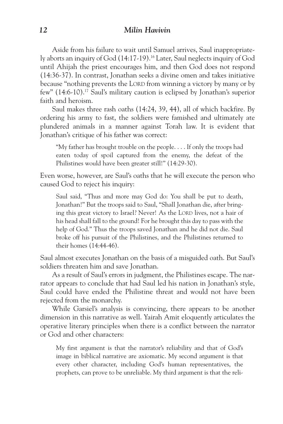Aside from his failure to wait until Samuel arrives, Saul inappropriately aborts an inquiry of God (14:17-19).16 Later, Saul neglects inquiry of God until Ahijah the priest encourages him, and then God does not respond (14:36-37). In contrast, Jonathan seeks a divine omen and takes initiative because "nothing prevents the LORD from winning a victory by many or by few" (14:6-10).17 Saul's military caution is eclipsed by Jonathan's superior faith and heroism.

Saul makes three rash oaths (14:24, 39, 44), all of which backfire. By ordering his army to fast, the soldiers were famished and ultimately ate plundered animals in a manner against Torah law. It is evident that Jonathan's critique of his father was correct:

"My father has brought trouble on the people. . . . If only the troops had eaten today of spoil captured from the enemy, the defeat of the Philistines would have been greater still!" (14:29-30).

Even worse, however, are Saul's oaths that he will execute the person who caused God to reject his inquiry:

Saul said, "Thus and more may God do: You shall be put to death, Jonathan!" But the troops said to Saul, "Shall Jonathan die, after bringing this great victory to Israel? Never! As the LORD lives, not a hair of his head shall fall to the ground! For he brought this day to pass with the help of God." Thus the troops saved Jonathan and he did not die. Saul broke off his pursuit of the Philistines, and the Philistines returned to their homes (14:44-46).

Saul almost executes Jonathan on the basis of a misguided oath. But Saul's soldiers threaten him and save Jonathan.

As a result of Saul's errors in judgment, the Philistines escape. The narrator appears to conclude that had Saul led his nation in Jonathan's style, Saul could have ended the Philistine threat and would not have been rejected from the monarchy.

While Garsiel's analysis is convincing, there appears to be another dimension in this narrative as well. Yairah Amit eloquently articulates the operative literary principles when there is a conflict between the narrator or God and other characters:

My first argument is that the narrator's reliability and that of God's image in biblical narrative are axiomatic. My second argument is that every other character, including God's human representatives, the prophets, can prove to be unreliable. My third argument is that the reli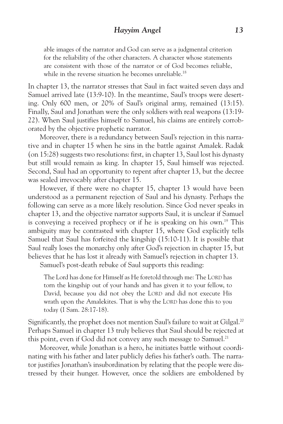able images of the narrator and God can serve as a judgmental criterion for the reliability of the other characters. A character whose statements are consistent with those of the narrator or of God becomes reliable, while in the reverse situation he becomes unreliable.<sup>18</sup>

In chapter 13, the narrator stresses that Saul in fact waited seven days and Samuel arrived late (13:9-10). In the meantime, Saul's troops were deserting. Only 600 men, or 20% of Saul's original army, remained (13:15). Finally, Saul and Jonathan were the only soldiers with real weapons (13:19- 22). When Saul justifies himself to Samuel, his claims are entirely corroborated by the objective prophetic narrator.

Moreover, there is a redundancy between Saul's rejection in this narrative and in chapter 15 when he sins in the battle against Amalek. Radak (on 15:28) suggests two resolutions: first, in chapter 13, Saul lost his dynasty but still would remain as king. In chapter 15, Saul himself was rejected. Second, Saul had an opportunity to repent after chapter 13, but the decree was sealed irrevocably after chapter 15.

However, if there were no chapter 15, chapter 13 would have been understood as a permanent rejection of Saul and his dynasty. Perhaps the following can serve as a more likely resolution. Since God never speaks in chapter 13, and the objective narrator supports Saul, it is unclear if Samuel is conveying a received prophecy or if he is speaking on his own.<sup>19</sup> This ambiguity may be contrasted with chapter 15, where God explicitly tells Samuel that Saul has forfeited the kingship (15:10-11). It is possible that Saul *really* loses the monarchy only after God's rejection in chapter 15, but believes that he has lost it already with Samuel's rejection in chapter 13.

Samuel's post-death rebuke of Saul supports this reading:

The Lord has done for Himself as He foretold through me: The LORD has torn the kingship out of your hands and has given it to your fellow, to David, because you did not obey the LORD and did not execute His wrath upon the Amalekites. That is why the LORD has done this to you today (I Sam. 28:17-18).

Significantly, the prophet does not mention Saul's failure to wait at Gilgal.<sup>20</sup> Perhaps Samuel in chapter 13 truly believes that Saul should be rejected at this point, even if God did not convey any such message to Samuel.<sup>21</sup>

Moreover, while Jonathan is a hero, he initiates battle without coordinating with his father and later publicly defies his father's oath. The narrator justifies Jonathan's insubordination by relating that the people were distressed by their hunger. However, once the soldiers are emboldened by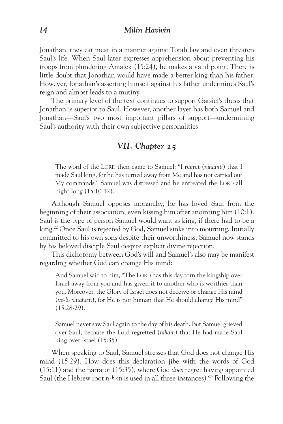Jonathan, they eat meat in a manner against Torah law and even threaten Saul's life. When Saul later expresses apprehension about preventing his troops from plundering Amalek (15:24), he makes a valid point. There is little doubt that Jonathan would have made a better king than his father. However, Jonathan's asserting himself against his father undermines Saul's reign and almost leads to a mutiny.

The primary level of the text continues to support Garsiel's thesis that Jonathan is superior to Saul. However, another layer has both Samuel and Jonathan—Saul's two most important pillars of support—undermining Saul's authority with their own subjective personalities.

# *VII. Chapter 15*

The word of the LORD then came to Samuel: "I regret (*nihamti*) that I made Saul king, for he has turned away from Me and has not carried out My commands." Samuel was distressed and he entreated the LORD all night long (15:10-12).

Although Samuel opposes monarchy, he has loved Saul from the beginning of their association, even kissing him after anointing him (10:1). Saul is the type of person Samuel would want as king, if there had to be a king.<sup>22</sup> Once Saul is rejected by God, Samuel sinks into mourning. Initially committed to his own sons despite their unworthiness, Samuel now stands by his beloved disciple Saul despite explicit divine rejection.

This dichotomy between God's will and Samuel's also may be manifest regarding whether God can change His mind:

And Samuel said to him, "The LORD has this day torn the kingship over Israel away from you and has given it to another who is worthier than you. Moreover, the Glory of Israel does not deceive or change His mind (*ve-lo yinahem*), for He is not human that He should change His mind" (15:28-29).

Samuel never saw Saul again to the day of his death. But Samuel grieved over Saul, because the Lord regretted (*niham*) that He had made Saul king over Israel (15:35).

When speaking to Saul, Samuel stresses that God does not change His mind (15:29). How does this declaration jibe with the words of God (15:11) and the narrator (15:35), where God *does* regret having appointed Saul (the Hebrew root *n-h-m* is used in all three instances)?<sup>23</sup> Following the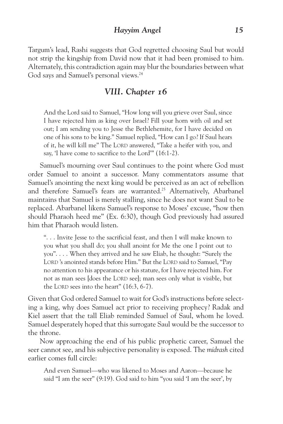Targum's lead, Rashi suggests that God regretted choosing Saul but would not strip the kingship from David now that it had been promised to him. Alternately, this contradiction again may blur the boundaries between what God says and Samuel's personal views.<sup>24</sup>

## *VIII. Chapter 16*

And the Lord said to Samuel, "How long will you grieve over Saul, since I have rejected him as king over Israel? Fill your horn with oil and set out; I am sending you to Jesse the Bethlehemite, for I have decided on one of his sons to be king." Samuel replied, "How can I go? If Saul hears of it, he will kill me" The LORD answered, "Take a heifer with you, and say, 'I have come to sacrifice to the Lord'" (16:1-2).

Samuel's mourning over Saul continues to the point where God must order Samuel to anoint a successor. Many commentators assume that Samuel's anointing the next king would be perceived as an act of rebellion and therefore Samuel's fears are warranted.<sup>25</sup> Alternatively, Abarbanel maintains that Samuel is merely stalling, since he does not want Saul to be replaced. Abarbanel likens Samuel's response to Moses' excuse, "how then should Pharaoh heed me" (Ex. 6:30), though God previously had assured him that Pharaoh would listen.

". . . Invite Jesse to the sacrificial feast, and then I will make known to you what you shall do; you shall anoint for Me the one I point out to you". . . . When they arrived and he saw Eliab, he thought: "Surely the LORD 's anointed stands before Him." But the LORD said to Samuel, "Pay no attention to his appearance or his stature, for I have rejected him. For not as man sees [does the LORD see]; man sees only what is visible, but the LORD sees into the heart" (16:3, 6-7).

Given that God ordered Samuel to wait for God's instructions before selecting a king, why does Samuel act prior to receiving prophecy? Radak and Kiel assert that the tall Eliab reminded Samuel of Saul, whom he loved. Samuel desperately hoped that this surrogate Saul would be the successor to the throne.

Now approaching the end of his public prophetic career, Samuel the seer cannot see, and his subjective personality is exposed. The *midrash* cited earlier comes full circle:

And even Samuel—who was likened to Moses and Aaron—because he said "I am the seer" (9:19). God said to him "you said 'I am the seer', by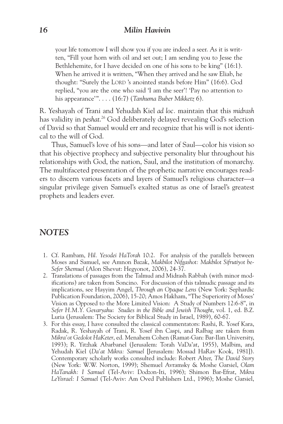your life tomorrow I will show you if you are indeed a seer. As it is written, "Fill your horn with oil and set out; I am sending you to Jesse the Bethlehemite, for I have decided on one of his sons to be king" (16:1). When he arrived it is written, "When they arrived and he saw Eliab, he thought: "Surely the LORD 's anointed stands before Him" (16:6). God replied, "you are the one who said 'I am the seer'! 'Pay no attention to his appearance'". . . . (16:7) (*Tanhuma Buber Mikketz* 6).

R. Yeshayah of Trani and Yehudah Kiel *ad loc.* maintain that this *midrash* has validity in *peshat*. <sup>26</sup> God deliberately delayed revealing God's selection of David so that Samuel would err and recognize that his will is not identical to the will of God.

Thus, Samuel's love of his sons—and later of Saul—color his vision so that his objective prophecy and subjective personality blur throughout his relationships with God, the nation, Saul, and the institution of monarchy. The multifaceted presentation of the prophetic narrative encourages readers to discern various facets and layers of Samuel's religious character—a singular privilege given Samuel's exalted status as one of Israel's greatest prophets and leaders ever.

## *NOTES*

- 1. Cf. Rambam, *Hil. Yesodei HaTorah* 10:2. For analysis of the parallels between Moses and Samuel, see Amnon Bazak, *Makbilot Nifgashot: Makbilot Sifrutiyot be-Sefer Shemuel* (Alon Shevut: Hegyonot, 2006), 24-37.
- 2. Translations of passages from the Talmud and Midrash Rabbah (with minor modifications) are taken from Soncino. For discussion of this talmudic passage and its implications, see Hayyim Angel, *Through an Opaque Lens* (New York: Sephardic Publication Foundation, 2006), 15-20; Amos Hakham, "The Superiority of Moses' Vision as Opposed to the More Limited Vision: A Study of Numbers 12:6-8", in *Sefer H.M.Y. Gevaryahu*: *Studies in the Bible and Jewish Thought*, vol. 1, ed. B.Z. Luria (Jerusalem: The Society for Biblical Study in Israel, 1989), 60-67.
- 3. For this essay, I have consulted the classical commentators: Rashi, R. Yosef Kara, Radak, R. Yeshayah of Trani, R. Yosef ibn Caspi, and Ralbag are taken from *Mikra'ot Gedolot HaKeter*, ed. Menahem Cohen (Ramat-Gan: Bar-Ilan University, 1993); R. Yitzhak Abarbanel (Jerusalem: Torah VaDa'at, 1955), Malbim, and Yehudah Kiel (*Da'at Mikra: Samuel* [Jerusalem: Mossad HaRav Kook, 1981]). Contemporary scholarly works consulted include: Robert Alter, *The David Story* (New York: W.W. Norton, 1999); Shemuel Avramsky & Moshe Garsiel, *Olam HaTanakh: I Samuel* (Tel-Aviv: Dodzon-Iti, 1996); Shimon Bar-Efrat, *Mikra LeYisrael: I Samuel* (Tel-Aviv: Am Oved Publishers Ltd., 1996); Moshe Garsiel,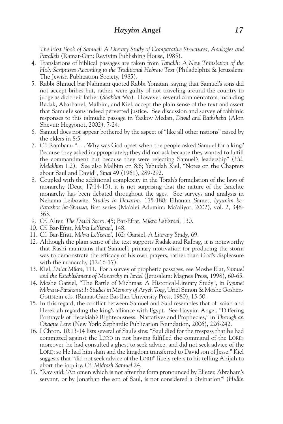*The First Book of Samuel: A Literary Study of Comparative Structures, Analogies and Parallels* (Ramat-Gan: Revivim Publishing House, 1985).

- 4. Translations of biblical passages are taken from *Tanakh: A New Translation of the Holy Scriptures According to the Traditional Hebrew Text* (Philadelphia & Jerusalem: The Jewish Publication Society, 1985).
- 5. Rabbi Shmuel bar Nahmani quoted Rabbi Yonatan, saying that Samuel's sons did not accept bribes but, rather, were guilty of not traveling around the country to judge as did their father (*Shabbat* 56a). However, several commentators, including Radak, Abarbanel, Malbim, and Kiel, accept the plain sense of the text and assert that Samuel's sons indeed perverted justice. See discussion and survey of rabbinic responses to this talmudic passage in Yaakov Medan, *David and Bathsheba* (Alon Shevut: Hegyonot, 2002), 7-24.
- 6. Samuel does not appear bothered by the aspect of "like all other nations" raised by the elders in 8:5.
- 7. Cf. Rambam: ". . . Why was God upset when the people asked Samuel for a king? Because they asked inappropriately; they did not ask because they wanted to fulfill the commandment but because they were rejecting Samuel's leadership" (*Hil. Melakhim* 1:2). See also Malbim on 8:6; Yehudah Kiel, "Notes on the Chapters about Saul and David", *Sinai* 49 (1961), 289-292.
- 8. Coupled with the additional complexity in the Torah's formulation of the laws of monarchy (Deut. 17:14-15), it is not surprising that the nature of the Israelite monarchy has been debated throughout the ages. See surveys and analysis in Nehama Leibowitz, *Studies in Devarim*, 175-180; Elhanan Samet, *Iyyunim be-Parashot ha-Shavua*, first series (Ma'alei Adumim: Ma'aliyot, 2002), vol. 2, 348- 363.
- 9. Cf. Alter, *The David Story*, 45; Bar-Efrat, *Mikra LeYisrael*, 130.
- 10. Cf. Bar-Efrat, *Mikra LeYisrael*, 148.
- 11. Cf. Bar-Efrat, *Mikra LeYisrael*, 162; Garsiel, *A Literary Study*, 69.
- 12. Although the plain sense of the text supports Radak and Ralbag, it is noteworthy that Rashi maintains that Samuel's primary motivation for producing the storm was to demonstrate the efficacy of his own prayers, rather than God's displeasure with the monarchy (12:16-17).
- 13. Kiel, *Da'at Mikra*, 111. For a survey of prophetic passages, see Moshe Elat, *Samuel and the Establishment of Monarchy in Israel* (Jerusalem: Magnes Press, 1998), 60-65.
- 14. Moshe Garsiel, "The Battle of Michmas: A Historical-Literary Study", in *Iyyunei Mikra u-Parshanut I: Studies in Memory of Aryeh Toeg*, Uriel Simon & Moshe Goshen-Gottstein eds. (Ramat-Gan: Bar-Ilan University Press, 1980), 15-50.
- 15. In this regard, the conflict between Samuel and Saul resembles that of Isaiah and Hezekiah regarding the king's alliance with Egypt. See Hayyim Angel, "Differing Portrayals of Hezekiah's Righteousness: Narratives and Prophecies," in *Through an Opaque Lens* (New York: Sephardic Publication Foundation, 2006), 226-242.
- 16. I Chron. 10:13-14 lists several of Saul's sins: "Saul died for the trespass that he had committed against the LORD in not having fulfilled the command of the LORD; moreover, he had consulted a ghost to seek advice, and did not seek advice of the LORD; so He had him slain and the kingdom transferred to David son of Jesse." Kiel suggests that "did not seek advice of the LORD" likely refers to his telling Ahijah to abort the inquiry. Cf. *Midrash Samuel* 24.
- 17. "Rav said: 'An omen which is not after the form pronounced by Eliezer, Abraham's servant, or by Jonathan the son of Saul, is not considered a divination'" (*Hullin*